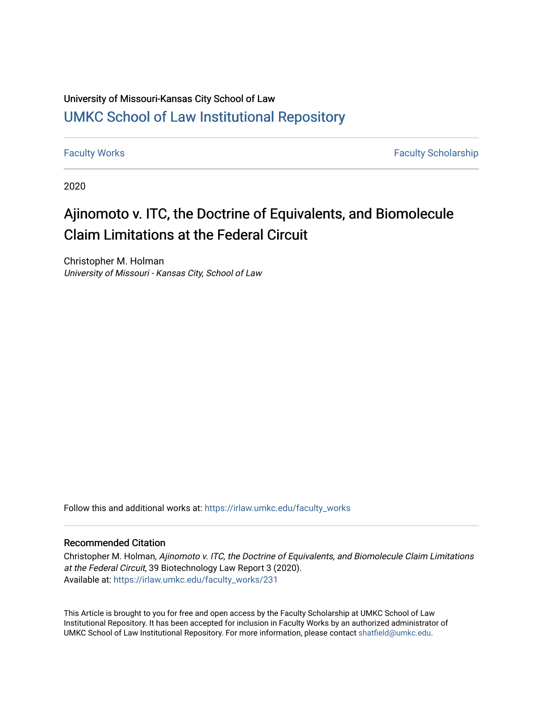### University of Missouri-Kansas City School of Law [UMKC School of Law Institutional Repository](https://irlaw.umkc.edu/)

[Faculty Works](https://irlaw.umkc.edu/faculty_works) **Faculty Scholarship** 

2020

# Ajinomoto v. ITC, the Doctrine of Equivalents, and Biomolecule Claim Limitations at the Federal Circuit

Christopher M. Holman University of Missouri - Kansas City, School of Law

Follow this and additional works at: [https://irlaw.umkc.edu/faculty\\_works](https://irlaw.umkc.edu/faculty_works?utm_source=irlaw.umkc.edu%2Ffaculty_works%2F231&utm_medium=PDF&utm_campaign=PDFCoverPages) 

#### Recommended Citation

Christopher M. Holman, Ajinomoto v. ITC, the Doctrine of Equivalents, and Biomolecule Claim Limitations at the Federal Circuit, 39 Biotechnology Law Report 3 (2020). Available at: [https://irlaw.umkc.edu/faculty\\_works/231](https://irlaw.umkc.edu/faculty_works/231?utm_source=irlaw.umkc.edu%2Ffaculty_works%2F231&utm_medium=PDF&utm_campaign=PDFCoverPages) 

This Article is brought to you for free and open access by the Faculty Scholarship at UMKC School of Law Institutional Repository. It has been accepted for inclusion in Faculty Works by an authorized administrator of UMKC School of Law Institutional Repository. For more information, please contact [shatfield@umkc.edu](mailto:shatfield@umkc.edu).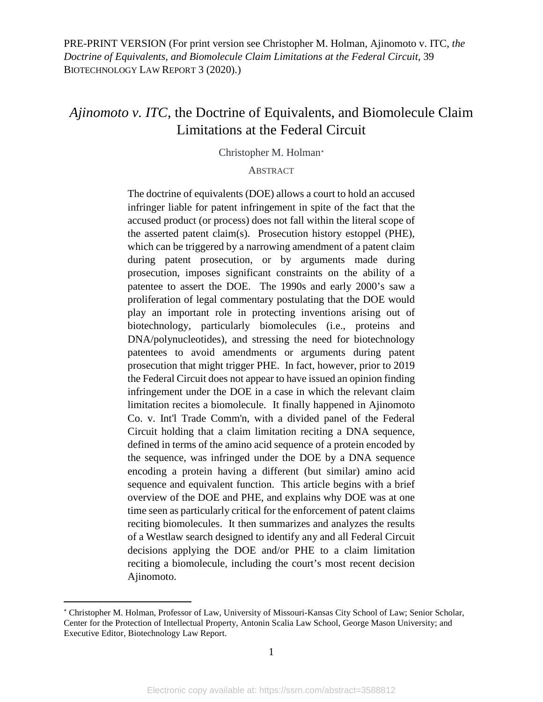### *Ajinomoto v. ITC*, the Doctrine of Equivalents, and Biomolecule Claim Limitations at the Federal Circuit

Christopher M. Holman[∗](#page-1-0)

#### **ABSTRACT**

The doctrine of equivalents (DOE) allows a court to hold an accused infringer liable for patent infringement in spite of the fact that the accused product (or process) does not fall within the literal scope of the asserted patent claim(s). Prosecution history estoppel (PHE), which can be triggered by a narrowing amendment of a patent claim during patent prosecution, or by arguments made during prosecution, imposes significant constraints on the ability of a patentee to assert the DOE. The 1990s and early 2000's saw a proliferation of legal commentary postulating that the DOE would play an important role in protecting inventions arising out of biotechnology, particularly biomolecules (i.e., proteins and DNA/polynucleotides), and stressing the need for biotechnology patentees to avoid amendments or arguments during patent prosecution that might trigger PHE. In fact, however, prior to 2019 the Federal Circuit does not appear to have issued an opinion finding infringement under the DOE in a case in which the relevant claim limitation recites a biomolecule. It finally happened in Ajinomoto Co. v. Int'l Trade Comm'n, with a divided panel of the Federal Circuit holding that a claim limitation reciting a DNA sequence, defined in terms of the amino acid sequence of a protein encoded by the sequence, was infringed under the DOE by a DNA sequence encoding a protein having a different (but similar) amino acid sequence and equivalent function. This article begins with a brief overview of the DOE and PHE, and explains why DOE was at one time seen as particularly critical for the enforcement of patent claims reciting biomolecules. It then summarizes and analyzes the results of a Westlaw search designed to identify any and all Federal Circuit decisions applying the DOE and/or PHE to a claim limitation reciting a biomolecule, including the court's most recent decision Ajinomoto.

 $\overline{a}$ 

<span id="page-1-0"></span><sup>∗</sup> Christopher M. Holman, Professor of Law, University of Missouri-Kansas City School of Law; Senior Scholar, Center for the Protection of Intellectual Property, Antonin Scalia Law School, George Mason University; and Executive Editor, Biotechnology Law Report.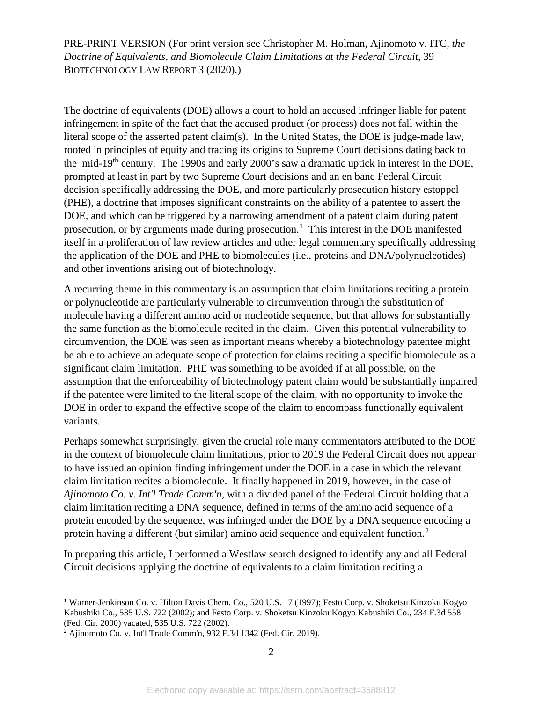The doctrine of equivalents (DOE) allows a court to hold an accused infringer liable for patent infringement in spite of the fact that the accused product (or process) does not fall within the literal scope of the asserted patent claim(s). In the United States, the DOE is judge-made law, rooted in principles of equity and tracing its origins to Supreme Court decisions dating back to the mid-19th century. The 1990s and early 2000's saw a dramatic uptick in interest in the DOE, prompted at least in part by two Supreme Court decisions and an en banc Federal Circuit decision specifically addressing the DOE, and more particularly prosecution history estoppel (PHE), a doctrine that imposes significant constraints on the ability of a patentee to assert the DOE, and which can be triggered by a narrowing amendment of a patent claim during patent prosecution, or by arguments made during prosecution.<sup>[1](#page-2-0)</sup> This interest in the DOE manifested itself in a proliferation of law review articles and other legal commentary specifically addressing the application of the DOE and PHE to biomolecules (i.e., proteins and DNA/polynucleotides) and other inventions arising out of biotechnology.

A recurring theme in this commentary is an assumption that claim limitations reciting a protein or polynucleotide are particularly vulnerable to circumvention through the substitution of molecule having a different amino acid or nucleotide sequence, but that allows for substantially the same function as the biomolecule recited in the claim. Given this potential vulnerability to circumvention, the DOE was seen as important means whereby a biotechnology patentee might be able to achieve an adequate scope of protection for claims reciting a specific biomolecule as a significant claim limitation. PHE was something to be avoided if at all possible, on the assumption that the enforceability of biotechnology patent claim would be substantially impaired if the patentee were limited to the literal scope of the claim, with no opportunity to invoke the DOE in order to expand the effective scope of the claim to encompass functionally equivalent variants.

Perhaps somewhat surprisingly, given the crucial role many commentators attributed to the DOE in the context of biomolecule claim limitations, prior to 2019 the Federal Circuit does not appear to have issued an opinion finding infringement under the DOE in a case in which the relevant claim limitation recites a biomolecule. It finally happened in 2019, however, in the case of *Ajinomoto Co. v. Int'l Trade Comm'n*, with a divided panel of the Federal Circuit holding that a claim limitation reciting a DNA sequence, defined in terms of the amino acid sequence of a protein encoded by the sequence, was infringed under the DOE by a DNA sequence encoding a protein having a different (but similar) amino acid sequence and equivalent function.<sup>[2](#page-2-1)</sup>

In preparing this article, I performed a Westlaw search designed to identify any and all Federal Circuit decisions applying the doctrine of equivalents to a claim limitation reciting a

<span id="page-2-0"></span><sup>&</sup>lt;sup>1</sup> Warner-Jenkinson Co. v. Hilton Davis Chem. Co., 520 U.S. 17 (1997); Festo Corp. v. Shoketsu Kinzoku Kogyo Kabushiki Co., 535 U.S. 722 (2002); and Festo Corp. v. Shoketsu Kinzoku Kogyo Kabushiki Co., 234 F.3d 558 (Fed. Cir. 2000) vacated, 535 U.S. 722 (2002).

<span id="page-2-1"></span><sup>2</sup> Ajinomoto Co. v. Int'l Trade Comm'n, 932 F.3d 1342 (Fed. Cir. 2019).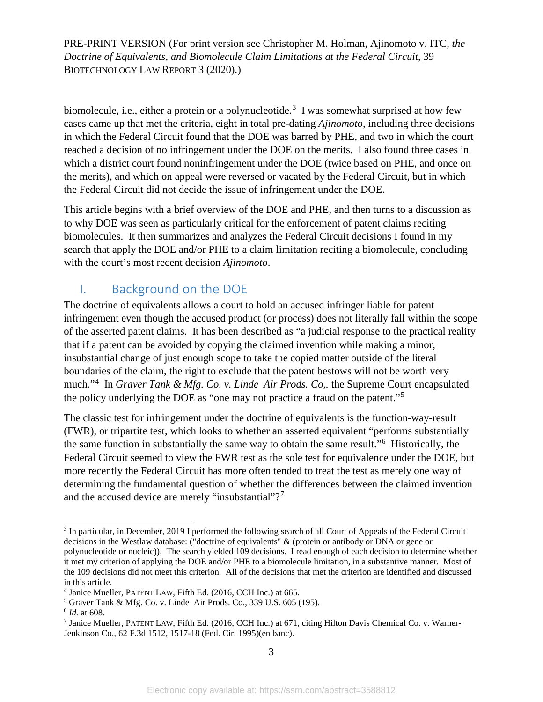biomolecule, i.e., either a protein or a polynucleotide.<sup>[3](#page-3-0)</sup> I was somewhat surprised at how few cases came up that met the criteria, eight in total pre-dating *Ajinomoto*, including three decisions in which the Federal Circuit found that the DOE was barred by PHE, and two in which the court reached a decision of no infringement under the DOE on the merits. I also found three cases in which a district court found noninfringement under the DOE (twice based on PHE, and once on the merits), and which on appeal were reversed or vacated by the Federal Circuit, but in which the Federal Circuit did not decide the issue of infringement under the DOE.

This article begins with a brief overview of the DOE and PHE, and then turns to a discussion as to why DOE was seen as particularly critical for the enforcement of patent claims reciting biomolecules. It then summarizes and analyzes the Federal Circuit decisions I found in my search that apply the DOE and/or PHE to a claim limitation reciting a biomolecule, concluding with the court's most recent decision *Ajinomoto*.

### I. Background on the DOE

The doctrine of equivalents allows a court to hold an accused infringer liable for patent infringement even though the accused product (or process) does not literally fall within the scope of the asserted patent claims. It has been described as "a judicial response to the practical reality that if a patent can be avoided by copying the claimed invention while making a minor, insubstantial change of just enough scope to take the copied matter outside of the literal boundaries of the claim, the right to exclude that the patent bestows will not be worth very much."[4](#page-3-1) In *Graver Tank & Mfg. Co. v. Linde Air Prods. Co,.* the Supreme Court encapsulated the policy underlying the DOE as "one may not practice a fraud on the patent."[5](#page-3-2)

The classic test for infringement under the doctrine of equivalents is the function-way-result (FWR), or tripartite test, which looks to whether an asserted equivalent "performs substantially the same function in substantially the same way to obtain the same result."[6](#page-3-3) Historically, the Federal Circuit seemed to view the FWR test as the sole test for equivalence under the DOE, but more recently the Federal Circuit has more often tended to treat the test as merely one way of determining the fundamental question of whether the differences between the claimed invention and the accused device are merely "insubstantial"?<sup>[7](#page-3-4)</sup>

<span id="page-3-0"></span><sup>&</sup>lt;sup>3</sup> In particular, in December, 2019 I performed the following search of all Court of Appeals of the Federal Circuit decisions in the Westlaw database: ("doctrine of equivalents" & (protein or antibody or DNA or gene or polynucleotide or nucleic)). The search yielded 109 decisions. I read enough of each decision to determine whether it met my criterion of applying the DOE and/or PHE to a biomolecule limitation, in a substantive manner. Most of the 109 decisions did not meet this criterion. All of the decisions that met the criterion are identified and discussed in this article.

<span id="page-3-1"></span><sup>4</sup> Janice Mueller, PATENT LAW, Fifth Ed. (2016, CCH Inc.) at 665.

<span id="page-3-2"></span><sup>5</sup> Graver Tank & Mfg. Co. v. Linde Air Prods. Co., 339 U.S. 605 (195).

<span id="page-3-3"></span><sup>6</sup> *Id.* at 608.

<span id="page-3-4"></span><sup>7</sup> Janice Mueller, PATENT LAW, Fifth Ed. (2016, CCH Inc.) at 671, citing Hilton Davis Chemical Co. v. Warner-Jenkinson Co., 62 F.3d 1512, 1517-18 (Fed. Cir. 1995)(en banc).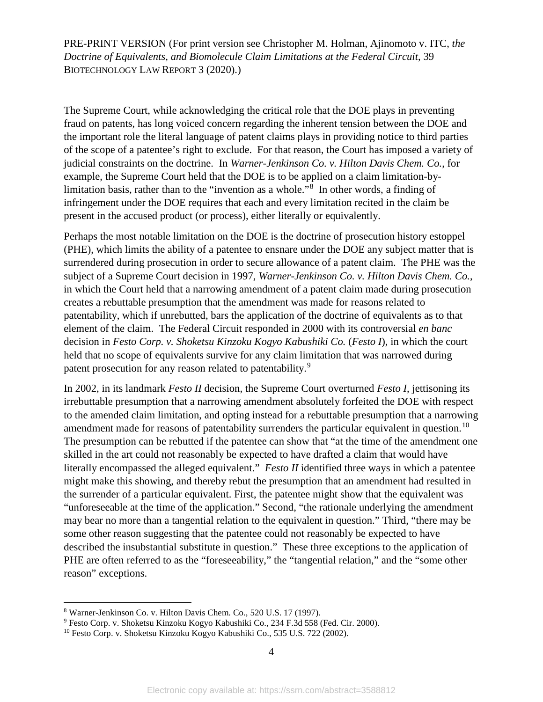The Supreme Court, while acknowledging the critical role that the DOE plays in preventing fraud on patents, has long voiced concern regarding the inherent tension between the DOE and the important role the literal language of patent claims plays in providing notice to third parties of the scope of a patentee's right to exclude. For that reason, the Court has imposed a variety of judicial constraints on the doctrine. In *Warner-Jenkinson Co. v. Hilton Davis Chem. Co.*, for example, the Supreme Court held that the DOE is to be applied on a claim limitation-by-limitation basis, rather than to the "invention as a whole."<sup>[8](#page-4-0)</sup> In other words, a finding of infringement under the DOE requires that each and every limitation recited in the claim be present in the accused product (or process), either literally or equivalently.

Perhaps the most notable limitation on the DOE is the doctrine of prosecution history estoppel (PHE), which limits the ability of a patentee to ensnare under the DOE any subject matter that is surrendered during prosecution in order to secure allowance of a patent claim. The PHE was the subject of a Supreme Court decision in 1997, *Warner-Jenkinson Co. v. Hilton Davis Chem. Co.*, in which the Court held that a narrowing amendment of a patent claim made during prosecution creates a rebuttable presumption that the amendment was made for reasons related to patentability, which if unrebutted, bars the application of the doctrine of equivalents as to that element of the claim. The Federal Circuit responded in 2000 with its controversial *en banc*  decision in *Festo Corp. v. Shoketsu Kinzoku Kogyo Kabushiki Co. (Festo I)*, in which the court held that no scope of equivalents survive for any claim limitation that was narrowed during patent prosecution for any reason related to patentability.<sup>[9](#page-4-1)</sup>

In 2002, in its landmark *Festo II* decision, the Supreme Court overturned *Festo I*, jettisoning its irrebuttable presumption that a narrowing amendment absolutely forfeited the DOE with respect to the amended claim limitation, and opting instead for a rebuttable presumption that a narrowing amendment made for reasons of patentability surrenders the particular equivalent in question.<sup>[10](#page-4-2)</sup> The presumption can be rebutted if the patentee can show that "at the time of the amendment one skilled in the art could not reasonably be expected to have drafted a claim that would have literally encompassed the alleged equivalent." *Festo II* identified three ways in which a patentee might make this showing, and thereby rebut the presumption that an amendment had resulted in the surrender of a particular equivalent. First, the patentee might show that the equivalent was "unforeseeable at the time of the application." Second, "the rationale underlying the amendment may bear no more than a tangential relation to the equivalent in question." Third, "there may be some other reason suggesting that the patentee could not reasonably be expected to have described the insubstantial substitute in question." These three exceptions to the application of PHE are often referred to as the "foreseeability," the "tangential relation," and the "some other reason" exceptions.

<span id="page-4-0"></span> <sup>8</sup> Warner-Jenkinson Co. v. Hilton Davis Chem. Co., 520 U.S. 17 (1997).

<span id="page-4-1"></span><sup>9</sup> Festo Corp. v. Shoketsu Kinzoku Kogyo Kabushiki Co., 234 F.3d 558 (Fed. Cir. 2000).

<span id="page-4-2"></span><sup>&</sup>lt;sup>10</sup> Festo Corp. v. Shoketsu Kinzoku Kogyo Kabushiki Co., 535 U.S. 722 (2002).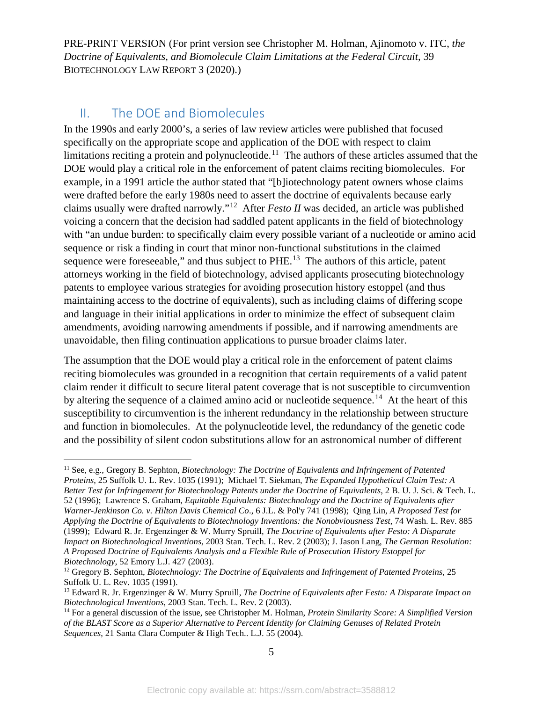### II. The DOE and Biomolecules

In the 1990s and early 2000's, a series of law review articles were published that focused specifically on the appropriate scope and application of the DOE with respect to claim limitations reciting a protein and polynucleotide.<sup>11</sup> The authors of these articles assumed that the DOE would play a critical role in the enforcement of patent claims reciting biomolecules. For example, in a 1991 article the author stated that "[b]iotechnology patent owners whose claims were drafted before the early 1980s need to assert the doctrine of equivalents because early claims usually were drafted narrowly."[12](#page-5-1) After *Festo II* was decided, an article was published voicing a concern that the decision had saddled patent applicants in the field of biotechnology with "an undue burden: to specifically claim every possible variant of a nucleotide or amino acid sequence or risk a finding in court that minor non-functional substitutions in the claimed sequence were foreseeable," and thus subject to PHE.<sup>[13](#page-5-2)</sup> The authors of this article, patent attorneys working in the field of biotechnology, advised applicants prosecuting biotechnology patents to employee various strategies for avoiding prosecution history estoppel (and thus maintaining access to the doctrine of equivalents), such as including claims of differing scope and language in their initial applications in order to minimize the effect of subsequent claim amendments, avoiding narrowing amendments if possible, and if narrowing amendments are unavoidable, then filing continuation applications to pursue broader claims later.

The assumption that the DOE would play a critical role in the enforcement of patent claims reciting biomolecules was grounded in a recognition that certain requirements of a valid patent claim render it difficult to secure literal patent coverage that is not susceptible to circumvention by altering the sequence of a claimed amino acid or nucleotide sequence.<sup>[14](#page-5-3)</sup> At the heart of this susceptibility to circumvention is the inherent redundancy in the relationship between structure and function in biomolecules. At the polynucleotide level, the redundancy of the genetic code and the possibility of silent codon substitutions allow for an astronomical number of different

<span id="page-5-0"></span> <sup>11</sup> See, e.g., Gregory B. Sephton, *Biotechnology: The Doctrine of Equivalents and Infringement of Patented Proteins*, 25 Suffolk U. L. Rev. 1035 (1991); Michael T. Siekman, *The Expanded Hypothetical Claim Test: A Better Test for Infringement for Biotechnology Patents under the Doctrine of Equivalents*, 2 B. U. J. Sci. & Tech. L. 52 (1996); Lawrence S. Graham, *Equitable Equivalents: Biotechnology and the Doctrine of Equivalents after Warner-Jenkinson Co. v. Hilton Davis Chemical Co*., 6 J.L. & Pol'y 741 (1998); Qing Lin, *A Proposed Test for Applying the Doctrine of Equivalents to Biotechnology Inventions: the Nonobviousness Test*, 74 Wash. L. Rev. 885 (1999); Edward R. Jr. Ergenzinger & W. Murry Spruill, *The Doctrine of Equivalents after Festo: A Disparate Impact on Biotechnological Inventions,* 2003 Stan. Tech. L. Rev. 2 (2003); J. Jason Lang, *The German Resolution: A Proposed Doctrine of Equivalents Analysis and a Flexible Rule of Prosecution History Estoppel for Biotechnology*, 52 Emory L.J. 427 (2003).

<span id="page-5-1"></span><sup>12</sup> Gregory B. Sephton, *Biotechnology: The Doctrine of Equivalents and Infringement of Patented Proteins*, 25 Suffolk U. L. Rev. 1035 (1991).

<span id="page-5-2"></span><sup>13</sup> Edward R. Jr. Ergenzinger & W. Murry Spruill, *The Doctrine of Equivalents after Festo: A Disparate Impact on Biotechnological Inventions*, 2003 Stan. Tech. L. Rev. 2 (2003).

<span id="page-5-3"></span><sup>14</sup> For a general discussion of the issue, see Christopher M. Holman, *Protein Similarity Score: A Simplified Version of the BLAST Score as a Superior Alternative to Percent Identity for Claiming Genuses of Related Protein Sequences*, 21 Santa Clara Computer & High Tech.. L.J. 55 (2004).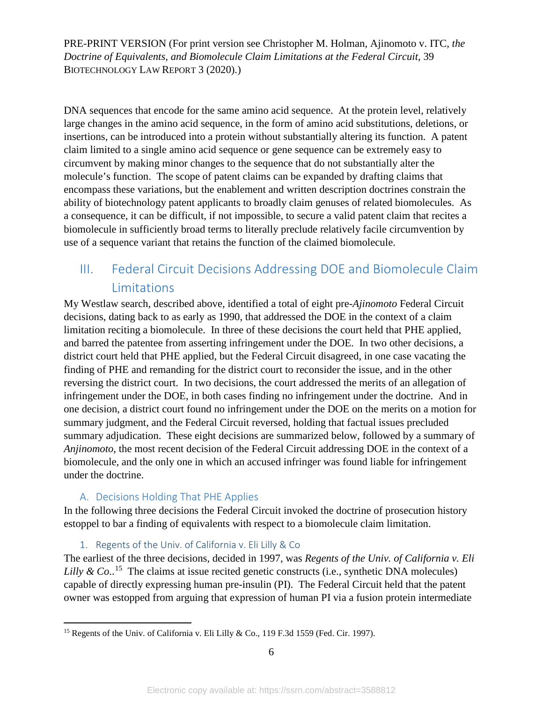DNA sequences that encode for the same amino acid sequence. At the protein level, relatively large changes in the amino acid sequence, in the form of amino acid substitutions, deletions, or insertions, can be introduced into a protein without substantially altering its function. A patent claim limited to a single amino acid sequence or gene sequence can be extremely easy to circumvent by making minor changes to the sequence that do not substantially alter the molecule's function. The scope of patent claims can be expanded by drafting claims that encompass these variations, but the enablement and written description doctrines constrain the ability of biotechnology patent applicants to broadly claim genuses of related biomolecules. As a consequence, it can be difficult, if not impossible, to secure a valid patent claim that recites a biomolecule in sufficiently broad terms to literally preclude relatively facile circumvention by use of a sequence variant that retains the function of the claimed biomolecule.

## III. Federal Circuit Decisions Addressing DOE and Biomolecule Claim Limitations

My Westlaw search, described above, identified a total of eight pre-*Ajinomoto* Federal Circuit decisions, dating back to as early as 1990, that addressed the DOE in the context of a claim limitation reciting a biomolecule. In three of these decisions the court held that PHE applied, and barred the patentee from asserting infringement under the DOE. In two other decisions, a district court held that PHE applied, but the Federal Circuit disagreed, in one case vacating the finding of PHE and remanding for the district court to reconsider the issue, and in the other reversing the district court. In two decisions, the court addressed the merits of an allegation of infringement under the DOE, in both cases finding no infringement under the doctrine. And in one decision, a district court found no infringement under the DOE on the merits on a motion for summary judgment, and the Federal Circuit reversed, holding that factual issues precluded summary adjudication. These eight decisions are summarized below, followed by a summary of *Anjinomoto*, the most recent decision of the Federal Circuit addressing DOE in the context of a biomolecule, and the only one in which an accused infringer was found liable for infringement under the doctrine.

### A. Decisions Holding That PHE Applies

In the following three decisions the Federal Circuit invoked the doctrine of prosecution history estoppel to bar a finding of equivalents with respect to a biomolecule claim limitation.

### 1. Regents of the Univ. of California v. Eli Lilly & Co

The earliest of the three decisions, decided in 1997, was *Regents of the Univ. of California v. Eli*  Lilly & Co..<sup>[15](#page-6-0)</sup> The claims at issue recited genetic constructs (i.e., synthetic DNA molecules) capable of directly expressing human pre-insulin (PI). The Federal Circuit held that the patent owner was estopped from arguing that expression of human PI via a fusion protein intermediate

<span id="page-6-0"></span><sup>&</sup>lt;sup>15</sup> Regents of the Univ. of California v. Eli Lilly & Co., 119 F.3d 1559 (Fed. Cir. 1997).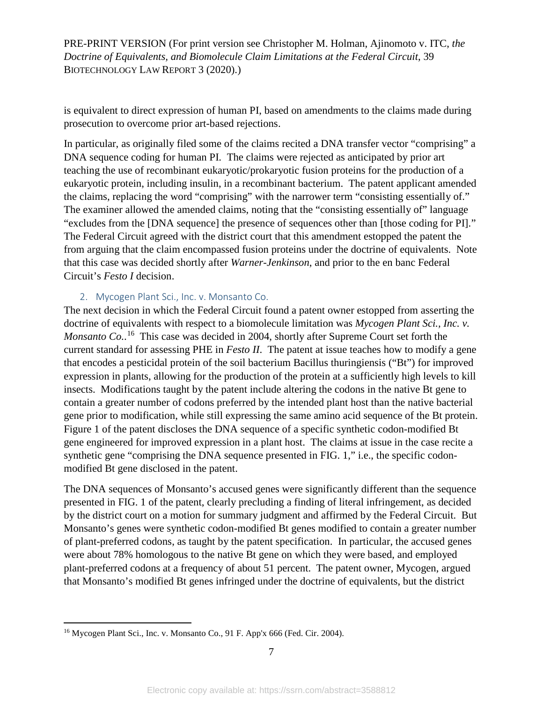is equivalent to direct expression of human PI, based on amendments to the claims made during prosecution to overcome prior art-based rejections.

In particular, as originally filed some of the claims recited a DNA transfer vector "comprising" a DNA sequence coding for human PI. The claims were rejected as anticipated by prior art teaching the use of recombinant eukaryotic/prokaryotic fusion proteins for the production of a eukaryotic protein, including insulin, in a recombinant bacterium. The patent applicant amended the claims, replacing the word "comprising" with the narrower term "consisting essentially of." The examiner allowed the amended claims, noting that the "consisting essentially of" language "excludes from the [DNA sequence] the presence of sequences other than [those coding for PI]." The Federal Circuit agreed with the district court that this amendment estopped the patent the from arguing that the claim encompassed fusion proteins under the doctrine of equivalents. Note that this case was decided shortly after *Warner-Jenkinson*, and prior to the en banc Federal Circuit's *Festo I* decision.

#### 2. Mycogen Plant Sci., Inc. v. Monsanto Co.

The next decision in which the Federal Circuit found a patent owner estopped from asserting the doctrine of equivalents with respect to a biomolecule limitation was *Mycogen Plant Sci., Inc. v.*  Monsanto Co..<sup>16</sup> This case was decided in 2004, shortly after Supreme Court set forth the current standard for assessing PHE in *Festo II*. The patent at issue teaches how to modify a gene that encodes a pesticidal protein of the soil bacterium Bacillus thuringiensis ("Bt") for improved expression in plants, allowing for the production of the protein at a sufficiently high levels to kill insects. Modifications taught by the patent include altering the codons in the native Bt gene to contain a greater number of codons preferred by the intended plant host than the native bacterial gene prior to modification, while still expressing the same amino acid sequence of the Bt protein. Figure 1 of the patent discloses the DNA sequence of a specific synthetic codon-modified Bt gene engineered for improved expression in a plant host. The claims at issue in the case recite a synthetic gene "comprising the DNA sequence presented in FIG. 1," i.e., the specific codonmodified Bt gene disclosed in the patent.

The DNA sequences of Monsanto's accused genes were significantly different than the sequence presented in FIG. 1 of the patent, clearly precluding a finding of literal infringement, as decided by the district court on a motion for summary judgment and affirmed by the Federal Circuit. But Monsanto's genes were synthetic codon-modified Bt genes modified to contain a greater number of plant-preferred codons, as taught by the patent specification. In particular, the accused genes were about 78% homologous to the native Bt gene on which they were based, and employed plant-preferred codons at a frequency of about 51 percent. The patent owner, Mycogen, argued that Monsanto's modified Bt genes infringed under the doctrine of equivalents, but the district

<span id="page-7-0"></span><sup>&</sup>lt;sup>16</sup> Mycogen Plant Sci., Inc. v. Monsanto Co., 91 F. App'x 666 (Fed. Cir. 2004).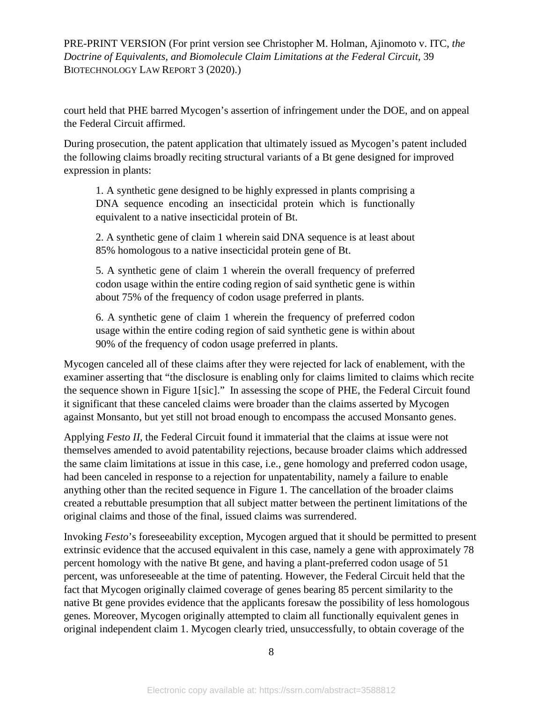court held that PHE barred Mycogen's assertion of infringement under the DOE, and on appeal the Federal Circuit affirmed.

During prosecution, the patent application that ultimately issued as Mycogen's patent included the following claims broadly reciting structural variants of a Bt gene designed for improved expression in plants:

1. A synthetic gene designed to be highly expressed in plants comprising a DNA sequence encoding an insecticidal protein which is functionally equivalent to a native insecticidal protein of Bt.

2. A synthetic gene of claim 1 wherein said DNA sequence is at least about 85% homologous to a native insecticidal protein gene of Bt.

5. A synthetic gene of claim 1 wherein the overall frequency of preferred codon usage within the entire coding region of said synthetic gene is within about 75% of the frequency of codon usage preferred in plants.

6. A synthetic gene of claim 1 wherein the frequency of preferred codon usage within the entire coding region of said synthetic gene is within about 90% of the frequency of codon usage preferred in plants.

Mycogen canceled all of these claims after they were rejected for lack of enablement, with the examiner asserting that "the disclosure is enabling only for claims limited to claims which recite the sequence shown in Figure 1[sic]." In assessing the scope of PHE, the Federal Circuit found it significant that these canceled claims were broader than the claims asserted by Mycogen against Monsanto, but yet still not broad enough to encompass the accused Monsanto genes.

Applying *Festo II*, the Federal Circuit found it immaterial that the claims at issue were not themselves amended to avoid patentability rejections, because broader claims which addressed the same claim limitations at issue in this case, i.e., gene homology and preferred codon usage, had been canceled in response to a rejection for unpatentability, namely a failure to enable anything other than the recited sequence in Figure 1. The cancellation of the broader claims created a rebuttable presumption that all subject matter between the pertinent limitations of the original claims and those of the final, issued claims was surrendered.

Invoking *Festo*'s foreseeability exception, Mycogen argued that it should be permitted to present extrinsic evidence that the accused equivalent in this case, namely a gene with approximately 78 percent homology with the native Bt gene, and having a plant-preferred codon usage of 51 percent, was unforeseeable at the time of patenting. However, the Federal Circuit held that the fact that Mycogen originally claimed coverage of genes bearing 85 percent similarity to the native Bt gene provides evidence that the applicants foresaw the possibility of less homologous genes. Moreover, Mycogen originally attempted to claim all functionally equivalent genes in original independent claim 1. Mycogen clearly tried, unsuccessfully, to obtain coverage of the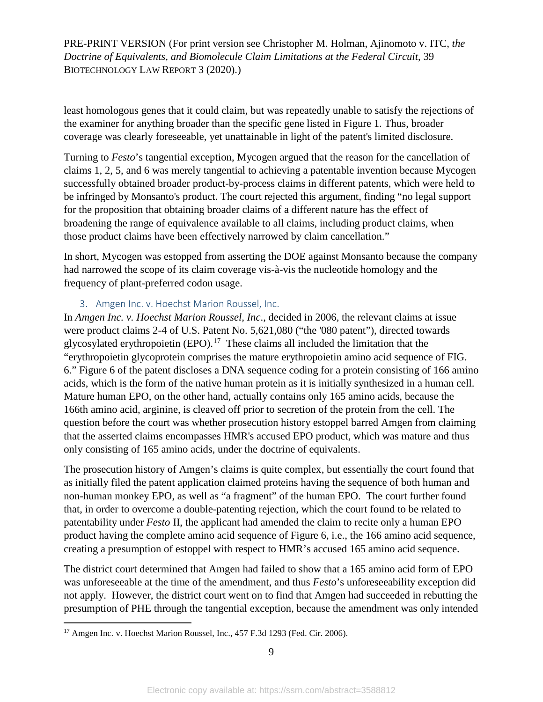least homologous genes that it could claim, but was repeatedly unable to satisfy the rejections of the examiner for anything broader than the specific gene listed in Figure 1. Thus, broader coverage was clearly foreseeable, yet unattainable in light of the patent's limited disclosure.

Turning to *Festo*'s tangential exception, Mycogen argued that the reason for the cancellation of claims 1, 2, 5, and 6 was merely tangential to achieving a patentable invention because Mycogen successfully obtained broader product-by-process claims in different patents, which were held to be infringed by Monsanto's product. The court rejected this argument, finding "no legal support for the proposition that obtaining broader claims of a different nature has the effect of broadening the range of equivalence available to all claims, including product claims, when those product claims have been effectively narrowed by claim cancellation."

In short, Mycogen was estopped from asserting the DOE against Monsanto because the company had narrowed the scope of its claim coverage vis-à-vis the nucleotide homology and the frequency of plant-preferred codon usage.

#### 3. Amgen Inc. v. Hoechst Marion Roussel, Inc.

In *Amgen Inc. v. Hoechst Marion Roussel, Inc*., decided in 2006*,* the relevant claims at issue were product claims 2-4 of U.S. Patent No. 5,621,080 ("the '080 patent"), directed towards glycosylated erythropoietin  $(EPO)$ .<sup>[17](#page-9-0)</sup> These claims all included the limitation that the "erythropoietin glycoprotein comprises the mature erythropoietin amino acid sequence of FIG. 6." Figure 6 of the patent discloses a DNA sequence coding for a protein consisting of 166 amino acids, which is the form of the native human protein as it is initially synthesized in a human cell. Mature human EPO, on the other hand, actually contains only 165 amino acids, because the 166th amino acid, arginine, is cleaved off prior to secretion of the protein from the cell. The question before the court was whether prosecution history estoppel barred Amgen from claiming that the asserted claims encompasses HMR's accused EPO product, which was mature and thus only consisting of 165 amino acids, under the doctrine of equivalents.

The prosecution history of Amgen's claims is quite complex, but essentially the court found that as initially filed the patent application claimed proteins having the sequence of both human and non-human monkey EPO, as well as "a fragment" of the human EPO. The court further found that, in order to overcome a double-patenting rejection, which the court found to be related to patentability under *Festo* II, the applicant had amended the claim to recite only a human EPO product having the complete amino acid sequence of Figure 6, i.e., the 166 amino acid sequence, creating a presumption of estoppel with respect to HMR's accused 165 amino acid sequence.

The district court determined that Amgen had failed to show that a 165 amino acid form of EPO was unforeseeable at the time of the amendment, and thus *Festo*'s unforeseeability exception did not apply. However, the district court went on to find that Amgen had succeeded in rebutting the presumption of PHE through the tangential exception, because the amendment was only intended

<span id="page-9-0"></span><sup>&</sup>lt;sup>17</sup> Amgen Inc. v. Hoechst Marion Roussel, Inc., 457 F.3d 1293 (Fed. Cir. 2006).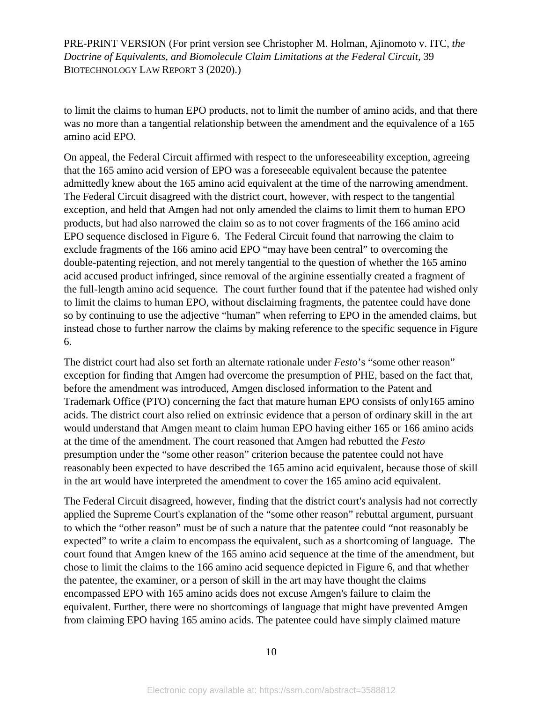to limit the claims to human EPO products, not to limit the number of amino acids, and that there was no more than a tangential relationship between the amendment and the equivalence of a 165 amino acid EPO.

On appeal, the Federal Circuit affirmed with respect to the unforeseeability exception, agreeing that the 165 amino acid version of EPO was a foreseeable equivalent because the patentee admittedly knew about the 165 amino acid equivalent at the time of the narrowing amendment. The Federal Circuit disagreed with the district court, however, with respect to the tangential exception, and held that Amgen had not only amended the claims to limit them to human EPO products, but had also narrowed the claim so as to not cover fragments of the 166 amino acid EPO sequence disclosed in Figure 6. The Federal Circuit found that narrowing the claim to exclude fragments of the 166 amino acid EPO "may have been central" to overcoming the double-patenting rejection, and not merely tangential to the question of whether the 165 amino acid accused product infringed, since removal of the arginine essentially created a fragment of the full-length amino acid sequence. The court further found that if the patentee had wished only to limit the claims to human EPO, without disclaiming fragments, the patentee could have done so by continuing to use the adjective "human" when referring to EPO in the amended claims, but instead chose to further narrow the claims by making reference to the specific sequence in Figure 6.

The district court had also set forth an alternate rationale under *Festo*'s "some other reason" exception for finding that Amgen had overcome the presumption of PHE, based on the fact that, before the amendment was introduced, Amgen disclosed information to the Patent and Trademark Office (PTO) concerning the fact that mature human EPO consists of only165 amino acids. The district court also relied on extrinsic evidence that a person of ordinary skill in the art would understand that Amgen meant to claim human EPO having either 165 or 166 amino acids at the time of the amendment. The court reasoned that Amgen had rebutted the *Festo* presumption under the "some other reason" criterion because the patentee could not have reasonably been expected to have described the 165 amino acid equivalent, because those of skill in the art would have interpreted the amendment to cover the 165 amino acid equivalent.

The Federal Circuit disagreed, however, finding that the district court's analysis had not correctly applied the Supreme Court's explanation of the "some other reason" rebuttal argument, pursuant to which the "other reason" must be of such a nature that the patentee could "not reasonably be expected" to write a claim to encompass the equivalent, such as a shortcoming of language. The court found that Amgen knew of the 165 amino acid sequence at the time of the amendment, but chose to limit the claims to the 166 amino acid sequence depicted in Figure 6, and that whether the patentee, the examiner, or a person of skill in the art may have thought the claims encompassed EPO with 165 amino acids does not excuse Amgen's failure to claim the equivalent. Further, there were no shortcomings of language that might have prevented Amgen from claiming EPO having 165 amino acids. The patentee could have simply claimed mature

10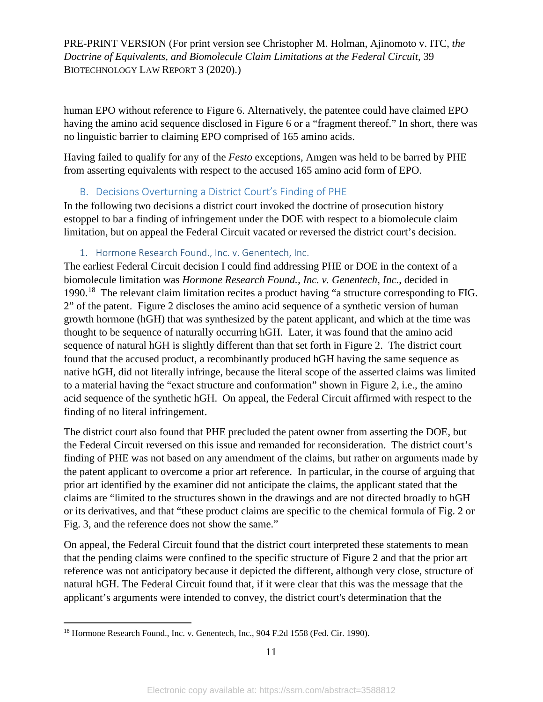human EPO without reference to Figure 6. Alternatively, the patentee could have claimed EPO having the amino acid sequence disclosed in Figure 6 or a "fragment thereof." In short, there was no linguistic barrier to claiming EPO comprised of 165 amino acids.

Having failed to qualify for any of the *Festo* exceptions, Amgen was held to be barred by PHE from asserting equivalents with respect to the accused 165 amino acid form of EPO.

#### B. Decisions Overturning a District Court's Finding of PHE

In the following two decisions a district court invoked the doctrine of prosecution history estoppel to bar a finding of infringement under the DOE with respect to a biomolecule claim limitation, but on appeal the Federal Circuit vacated or reversed the district court's decision.

#### 1. Hormone Research Found., Inc. v. Genentech, Inc.

The earliest Federal Circuit decision I could find addressing PHE or DOE in the context of a biomolecule limitation was *Hormone Research Found., Inc. v. Genentech, Inc.*, decided in 1990.<sup>[18](#page-11-0)</sup> The relevant claim limitation recites a product having "a structure corresponding to FIG. 2" of the patent. Figure 2 discloses the amino acid sequence of a synthetic version of human growth hormone (hGH) that was synthesized by the patent applicant, and which at the time was thought to be sequence of naturally occurring hGH. Later, it was found that the amino acid sequence of natural hGH is slightly different than that set forth in Figure 2. The district court found that the accused product, a recombinantly produced hGH having the same sequence as native hGH, did not literally infringe, because the literal scope of the asserted claims was limited to a material having the "exact structure and conformation" shown in Figure 2, i.e., the amino acid sequence of the synthetic hGH. On appeal, the Federal Circuit affirmed with respect to the finding of no literal infringement.

The district court also found that PHE precluded the patent owner from asserting the DOE, but the Federal Circuit reversed on this issue and remanded for reconsideration. The district court's finding of PHE was not based on any amendment of the claims, but rather on arguments made by the patent applicant to overcome a prior art reference. In particular, in the course of arguing that prior art identified by the examiner did not anticipate the claims, the applicant stated that the claims are "limited to the structures shown in the drawings and are not directed broadly to hGH or its derivatives, and that "these product claims are specific to the chemical formula of Fig. 2 or Fig. 3, and the reference does not show the same."

On appeal, the Federal Circuit found that the district court interpreted these statements to mean that the pending claims were confined to the specific structure of Figure 2 and that the prior art reference was not anticipatory because it depicted the different, although very close, structure of natural hGH. The Federal Circuit found that, if it were clear that this was the message that the applicant's arguments were intended to convey, the district court's determination that the

<span id="page-11-0"></span><sup>&</sup>lt;sup>18</sup> Hormone Research Found., Inc. v. Genentech, Inc., 904 F.2d 1558 (Fed. Cir. 1990).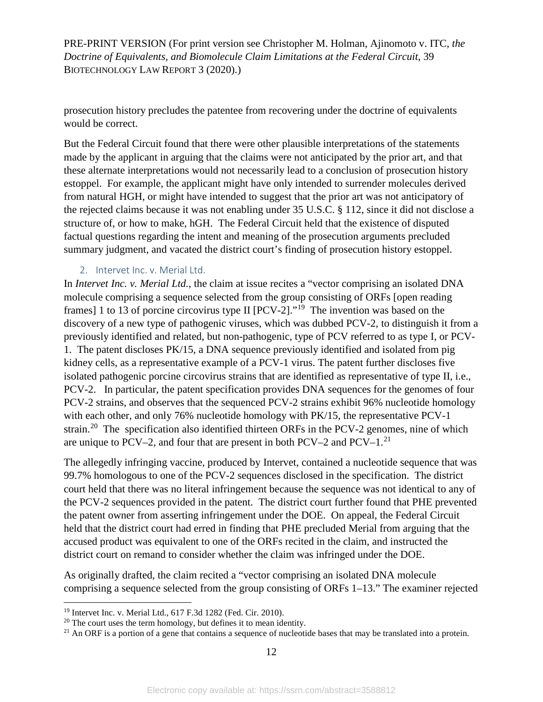prosecution history precludes the patentee from recovering under the doctrine of equivalents would be correct.

But the Federal Circuit found that there were other plausible interpretations of the statements made by the applicant in arguing that the claims were not anticipated by the prior art, and that these alternate interpretations would not necessarily lead to a conclusion of prosecution history estoppel. For example, the applicant might have only intended to surrender molecules derived from natural HGH, or might have intended to suggest that the prior art was not anticipatory of the rejected claims because it was not enabling under 35 U.S.C. § 112, since it did not disclose a structure of, or how to make, hGH. The Federal Circuit held that the existence of disputed factual questions regarding the intent and meaning of the prosecution arguments precluded summary judgment, and vacated the district court's finding of prosecution history estoppel.

#### 2. Intervet Inc. v. Merial Ltd.

In *Intervet Inc. v. Merial Ltd.*, the claim at issue recites a "vector comprising an isolated DNA molecule comprising a sequence selected from the group consisting of ORFs [open reading frames] 1 to 13 of porcine circovirus type II  $[PCV-2]$ ."<sup>19</sup> The invention was based on the discovery of a new type of pathogenic viruses, which was dubbed PCV-2, to distinguish it from a previously identified and related, but non-pathogenic, type of PCV referred to as type I, or PCV-1. The patent discloses PK/15, a DNA sequence previously identified and isolated from pig kidney cells, as a representative example of a PCV-1 virus. The patent further discloses five isolated pathogenic porcine circovirus strains that are identified as representative of type II, i.e., PCV-2. In particular, the patent specification provides DNA sequences for the genomes of four PCV-2 strains, and observes that the sequenced PCV-2 strains exhibit 96% nucleotide homology with each other, and only 76% nucleotide homology with PK/15, the representative PCV-1 strain.<sup>[20](#page-12-1)</sup> The specification also identified thirteen ORFs in the PCV-2 genomes, nine of which are unique to PCV–2, and four that are present in both PCV–2 and PCV– $1<sup>21</sup>$  $1<sup>21</sup>$  $1<sup>21</sup>$ 

The allegedly infringing vaccine, produced by Intervet, contained a nucleotide sequence that was 99.7% homologous to one of the PCV-2 sequences disclosed in the specification. The district court held that there was no literal infringement because the sequence was not identical to any of the PCV-2 sequences provided in the patent. The district court further found that PHE prevented the patent owner from asserting infringement under the DOE. On appeal, the Federal Circuit held that the district court had erred in finding that PHE precluded Merial from arguing that the accused product was equivalent to one of the ORFs recited in the claim, and instructed the district court on remand to consider whether the claim was infringed under the DOE.

As originally drafted, the claim recited a "vector comprising an isolated DNA molecule comprising a sequence selected from the group consisting of ORFs 1–13." The examiner rejected

<span id="page-12-0"></span> <sup>19</sup> Intervet Inc. v. Merial Ltd., 617 F.3d 1282 (Fed. Cir. 2010).

<span id="page-12-1"></span> $20$  The court uses the term homology, but defines it to mean identity.

<span id="page-12-2"></span> $21$  An ORF is a portion of a gene that contains a sequence of nucleotide bases that may be translated into a protein.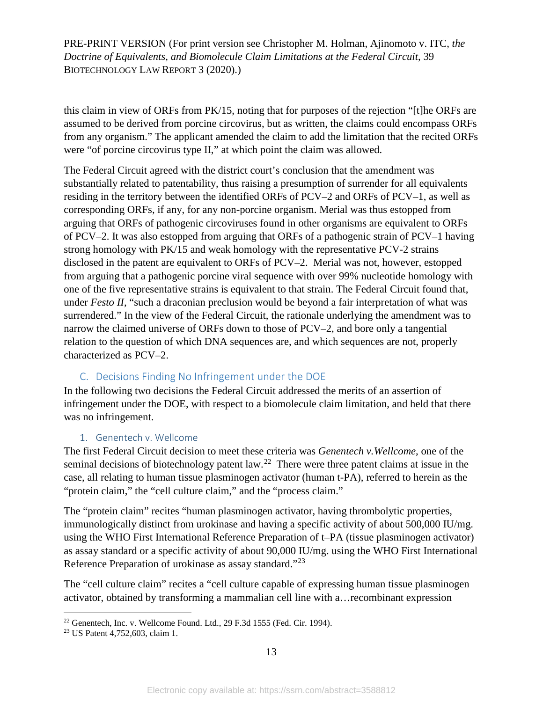this claim in view of ORFs from PK/15, noting that for purposes of the rejection "[t]he ORFs are assumed to be derived from porcine circovirus, but as written, the claims could encompass ORFs from any organism." The applicant amended the claim to add the limitation that the recited ORFs were "of porcine circovirus type II," at which point the claim was allowed.

The Federal Circuit agreed with the district court's conclusion that the amendment was substantially related to patentability, thus raising a presumption of surrender for all equivalents residing in the territory between the identified ORFs of PCV–2 and ORFs of PCV–1, as well as corresponding ORFs, if any, for any non-porcine organism. Merial was thus estopped from arguing that ORFs of pathogenic circoviruses found in other organisms are equivalent to ORFs of PCV–2. It was also estopped from arguing that ORFs of a pathogenic strain of PCV–1 having strong homology with PK/15 and weak homology with the representative PCV-2 strains disclosed in the patent are equivalent to ORFs of PCV–2. Merial was not, however, estopped from arguing that a pathogenic porcine viral sequence with over 99% nucleotide homology with one of the five representative strains is equivalent to that strain. The Federal Circuit found that, under *Festo II*, "such a draconian preclusion would be beyond a fair interpretation of what was surrendered." In the view of the Federal Circuit, the rationale underlying the amendment was to narrow the claimed universe of ORFs down to those of PCV–2, and bore only a tangential relation to the question of which DNA sequences are, and which sequences are not, properly characterized as PCV–2.

#### C. Decisions Finding No Infringement under the DOE

In the following two decisions the Federal Circuit addressed the merits of an assertion of infringement under the DOE, with respect to a biomolecule claim limitation, and held that there was no infringement.

#### 1. Genentech v. Wellcome

The first Federal Circuit decision to meet these criteria was *Genentech v.Wellcome*, one of the seminal decisions of biotechnology patent law.<sup>[22](#page-13-0)</sup> There were three patent claims at issue in the case, all relating to human tissue plasminogen activator (human t-PA), referred to herein as the "protein claim," the "cell culture claim," and the "process claim."

The "protein claim" recites "human plasminogen activator, having thrombolytic properties, immunologically distinct from urokinase and having a specific activity of about 500,000 IU/mg. using the WHO First International Reference Preparation of t–PA (tissue plasminogen activator) as assay standard or a specific activity of about 90,000 IU/mg. using the WHO First International Reference Preparation of urokinase as assay standard."[23](#page-13-1)

The "cell culture claim" recites a "cell culture capable of expressing human tissue plasminogen activator, obtained by transforming a mammalian cell line with a…recombinant expression

<span id="page-13-0"></span> $22$  Genentech, Inc. v. Wellcome Found. Ltd., 29 F.3d 1555 (Fed. Cir. 1994).

<span id="page-13-1"></span><sup>23</sup> US Patent 4,752,603, claim 1.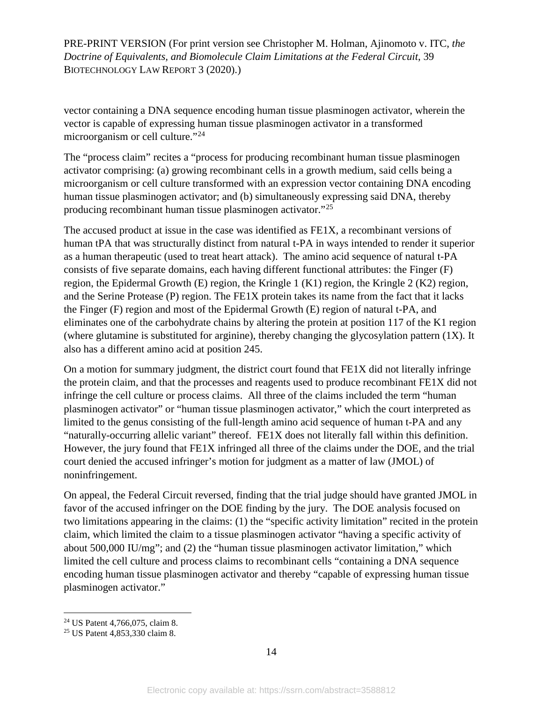vector containing a DNA sequence encoding human tissue plasminogen activator, wherein the vector is capable of expressing human tissue plasminogen activator in a transformed microorganism or cell culture."[24](#page-14-0)

The "process claim" recites a "process for producing recombinant human tissue plasminogen activator comprising: (a) growing recombinant cells in a growth medium, said cells being a microorganism or cell culture transformed with an expression vector containing DNA encoding human tissue plasminogen activator; and (b) simultaneously expressing said DNA, thereby producing recombinant human tissue plasminogen activator."[25](#page-14-1)

The accused product at issue in the case was identified as FE1X, a recombinant versions of human tPA that was structurally distinct from natural t-PA in ways intended to render it superior as a human therapeutic (used to treat heart attack). The amino acid sequence of natural t-PA consists of five separate domains, each having different functional attributes: the Finger (F) region, the Epidermal Growth (E) region, the Kringle 1 (K1) region, the Kringle 2 (K2) region, and the Serine Protease (P) region. The FE1X protein takes its name from the fact that it lacks the Finger (F) region and most of the Epidermal Growth (E) region of natural t-PA, and eliminates one of the carbohydrate chains by altering the protein at position 117 of the K1 region (where glutamine is substituted for arginine), thereby changing the glycosylation pattern  $(1X)$ . It also has a different amino acid at position 245.

On a motion for summary judgment, the district court found that  $FE1X$  did not literally infringe the protein claim, and that the processes and reagents used to produce recombinant FE1X did not infringe the cell culture or process claims. All three of the claims included the term "human plasminogen activator" or "human tissue plasminogen activator," which the court interpreted as limited to the genus consisting of the full-length amino acid sequence of human t-PA and any "naturally-occurring allelic variant" thereof. FE1X does not literally fall within this definition. However, the jury found that FE1X infringed all three of the claims under the DOE, and the trial court denied the accused infringer's motion for judgment as a matter of law (JMOL) of noninfringement.

On appeal, the Federal Circuit reversed, finding that the trial judge should have granted JMOL in favor of the accused infringer on the DOE finding by the jury. The DOE analysis focused on two limitations appearing in the claims: (1) the "specific activity limitation" recited in the protein claim, which limited the claim to a tissue plasminogen activator "having a specific activity of about 500,000 IU/mg"; and (2) the "human tissue plasminogen activator limitation," which limited the cell culture and process claims to recombinant cells "containing a DNA sequence encoding human tissue plasminogen activator and thereby "capable of expressing human tissue plasminogen activator."

<span id="page-14-0"></span> <sup>24</sup> US Patent 4,766,075, claim 8.

<span id="page-14-1"></span><sup>25</sup> US Patent 4,853,330 claim 8.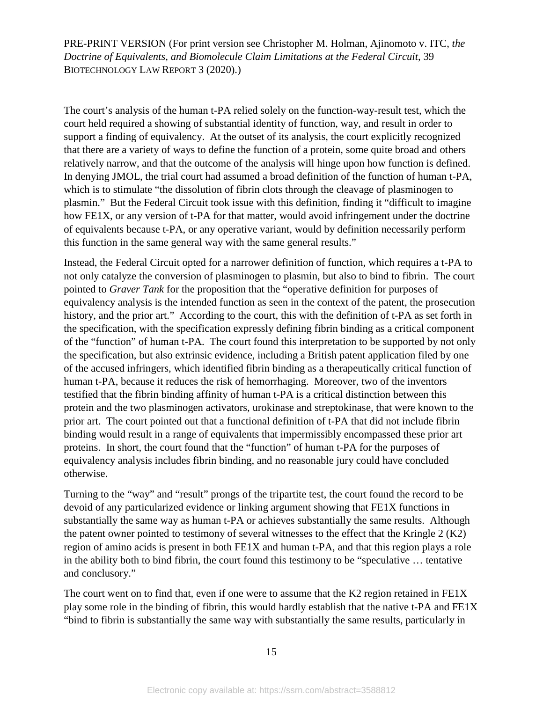The court's analysis of the human t-PA relied solely on the function-way-result test, which the court held required a showing of substantial identity of function, way, and result in order to support a finding of equivalency. At the outset of its analysis, the court explicitly recognized that there are a variety of ways to define the function of a protein, some quite broad and others relatively narrow, and that the outcome of the analysis will hinge upon how function is defined. In denying JMOL, the trial court had assumed a broad definition of the function of human t-PA, which is to stimulate "the dissolution of fibrin clots through the cleavage of plasminogen to plasmin." But the Federal Circuit took issue with this definition, finding it "difficult to imagine how FE1X, or any version of t-PA for that matter, would avoid infringement under the doctrine of equivalents because t-PA, or any operative variant, would by definition necessarily perform this function in the same general way with the same general results."

Instead, the Federal Circuit opted for a narrower definition of function, which requires a t-PA to not only catalyze the conversion of plasminogen to plasmin, but also to bind to fibrin. The court pointed to *Graver Tank* for the proposition that the "operative definition for purposes of equivalency analysis is the intended function as seen in the context of the patent, the prosecution history, and the prior art." According to the court, this with the definition of t-PA as set forth in the specification, with the specification expressly defining fibrin binding as a critical component of the "function" of human t-PA. The court found this interpretation to be supported by not only the specification, but also extrinsic evidence, including a British patent application filed by one of the accused infringers, which identified fibrin binding as a therapeutically critical function of human t-PA, because it reduces the risk of hemorrhaging. Moreover, two of the inventors testified that the fibrin binding affinity of human t-PA is a critical distinction between this protein and the two plasminogen activators, urokinase and streptokinase, that were known to the prior art. The court pointed out that a functional definition of t-PA that did not include fibrin binding would result in a range of equivalents that impermissibly encompassed these prior art proteins. In short, the court found that the "function" of human t-PA for the purposes of equivalency analysis includes fibrin binding, and no reasonable jury could have concluded otherwise.

Turning to the "way" and "result" prongs of the tripartite test, the court found the record to be devoid of any particularized evidence or linking argument showing that FE1X functions in substantially the same way as human t-PA or achieves substantially the same results. Although the patent owner pointed to testimony of several witnesses to the effect that the Kringle 2 (K2) region of amino acids is present in both FE1X and human t-PA, and that this region plays a role in the ability both to bind fibrin, the court found this testimony to be "speculative … tentative and conclusory."

The court went on to find that, even if one were to assume that the K2 region retained in FE1X play some role in the binding of fibrin, this would hardly establish that the native t-PA and FE1X "bind to fibrin is substantially the same way with substantially the same results, particularly in

15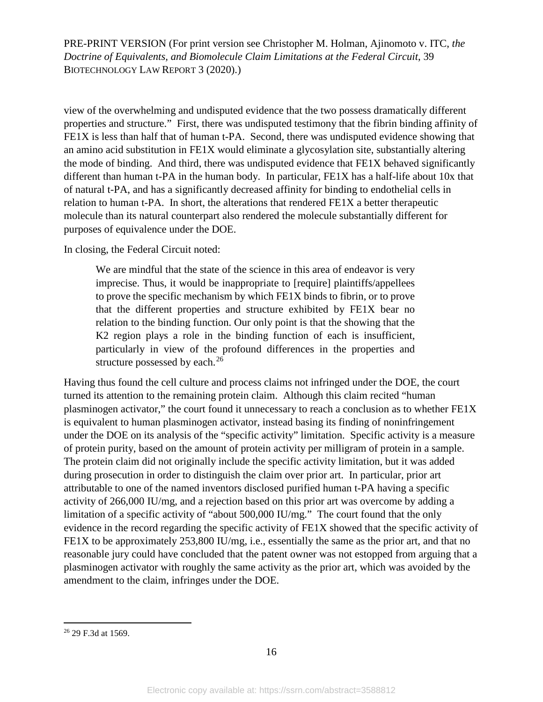view of the overwhelming and undisputed evidence that the two possess dramatically different properties and structure." First, there was undisputed testimony that the fibrin binding affinity of FE1X is less than half that of human t-PA. Second, there was undisputed evidence showing that an amino acid substitution in FE1X would eliminate a glycosylation site, substantially altering the mode of binding. And third, there was undisputed evidence that FE1X behaved significantly different than human t-PA in the human body. In particular, FE1X has a half-life about 10x that of natural t-PA, and has a significantly decreased affinity for binding to endothelial cells in relation to human t-PA. In short, the alterations that rendered FE1X a better therapeutic molecule than its natural counterpart also rendered the molecule substantially different for purposes of equivalence under the DOE.

In closing, the Federal Circuit noted:

We are mindful that the state of the science in this area of endeavor is very imprecise. Thus, it would be inappropriate to [require] plaintiffs/appellees to prove the specific mechanism by which FE1X binds to fibrin, or to prove that the different properties and structure exhibited by FE1X bear no relation to the binding function. Our only point is that the showing that the K2 region plays a role in the binding function of each is insufficient, particularly in view of the profound differences in the properties and structure possessed by each.<sup>[26](#page-16-0)</sup>

Having thus found the cell culture and process claims not infringed under the DOE, the court turned its attention to the remaining protein claim. Although this claim recited "human plasminogen activator," the court found it unnecessary to reach a conclusion as to whether FE1X is equivalent to human plasminogen activator, instead basing its finding of noninfringement under the DOE on its analysis of the "specific activity" limitation. Specific activity is a measure of protein purity, based on the amount of protein activity per milligram of protein in a sample. The protein claim did not originally include the specific activity limitation, but it was added during prosecution in order to distinguish the claim over prior art. In particular, prior art attributable to one of the named inventors disclosed purified human t-PA having a specific activity of 266,000 IU/mg, and a rejection based on this prior art was overcome by adding a limitation of a specific activity of "about 500,000 IU/mg." The court found that the only evidence in the record regarding the specific activity of FE1X showed that the specific activity of FE1X to be approximately 253,800 IU/mg, i.e., essentially the same as the prior art, and that no reasonable jury could have concluded that the patent owner was not estopped from arguing that a plasminogen activator with roughly the same activity as the prior art, which was avoided by the amendment to the claim, infringes under the DOE.

<span id="page-16-0"></span> <sup>26</sup> 29 F.3d at 1569.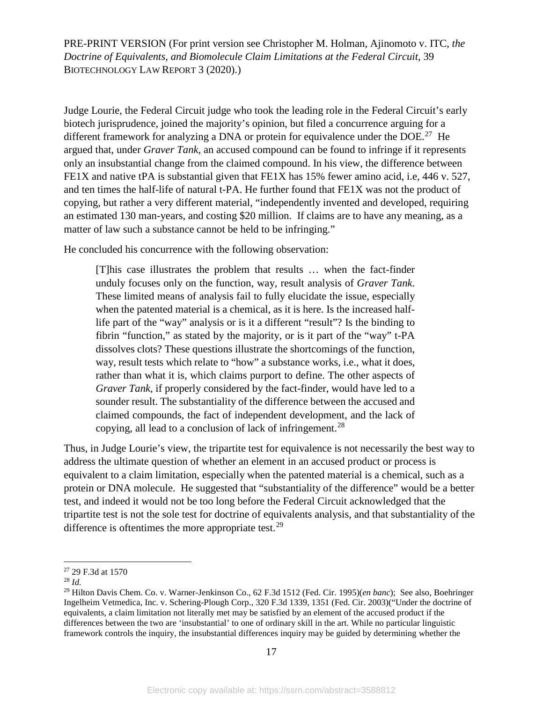Judge Lourie, the Federal Circuit judge who took the leading role in the Federal Circuit's early biotech jurisprudence, joined the majority's opinion, but filed a concurrence arguing for a different framework for analyzing a DNA or protein for equivalence under the DOE.<sup>27</sup> He argued that, under *Graver Tank*, an accused compound can be found to infringe if it represents only an insubstantial change from the claimed compound. In his view, the difference between FE1X and native tPA is substantial given that FE1X has 15% fewer amino acid, i.e, 446 v. 527, and ten times the half-life of natural t-PA. He further found that FE1X was not the product of copying, but rather a very different material, "independently invented and developed, requiring an estimated 130 man-years, and costing \$20 million. If claims are to have any meaning, as a matter of law such a substance cannot be held to be infringing."

He concluded his concurrence with the following observation:

[T]his case illustrates the problem that results … when the fact-finder unduly focuses only on the function, way, result analysis of *Graver Tank*. These limited means of analysis fail to fully elucidate the issue, especially when the patented material is a chemical, as it is here. Is the increased halflife part of the "way" analysis or is it a different "result"? Is the binding to fibrin "function," as stated by the majority, or is it part of the "way" t-PA dissolves clots? These questions illustrate the shortcomings of the function, way, result tests which relate to "how" a substance works, i.e., what it does, rather than what it is, which claims purport to define. The other aspects of *Graver Tank*, if properly considered by the fact-finder, would have led to a sounder result. The substantiality of the difference between the accused and claimed compounds, the fact of independent development, and the lack of copying, all lead to a conclusion of lack of infringement.<sup>[28](#page-17-1)</sup>

Thus, in Judge Lourie's view, the tripartite test for equivalence is not necessarily the best way to address the ultimate question of whether an element in an accused product or process is equivalent to a claim limitation, especially when the patented material is a chemical, such as a protein or DNA molecule. He suggested that "substantiality of the difference" would be a better test, and indeed it would not be too long before the Federal Circuit acknowledged that the tripartite test is not the sole test for doctrine of equivalents analysis, and that substantiality of the difference is oftentimes the more appropriate test.<sup>[29](#page-17-2)</sup>

<span id="page-17-0"></span> <sup>27</sup> 29 F.3d at <sup>1570</sup>

<span id="page-17-1"></span><sup>28</sup> *Id.*

<span id="page-17-2"></span><sup>29</sup> Hilton Davis Chem. Co. v. Warner-Jenkinson Co., 62 F.3d 1512 (Fed. Cir. 1995)(*en banc*); See also, Boehringer Ingelheim Vetmedica, Inc. v. Schering-Plough Corp., 320 F.3d 1339, 1351 (Fed. Cir. 2003)("Under the doctrine of equivalents, a claim limitation not literally met may be satisfied by an element of the accused product if the differences between the two are 'insubstantial' to one of ordinary skill in the art. While no particular linguistic framework controls the inquiry, the insubstantial differences inquiry may be guided by determining whether the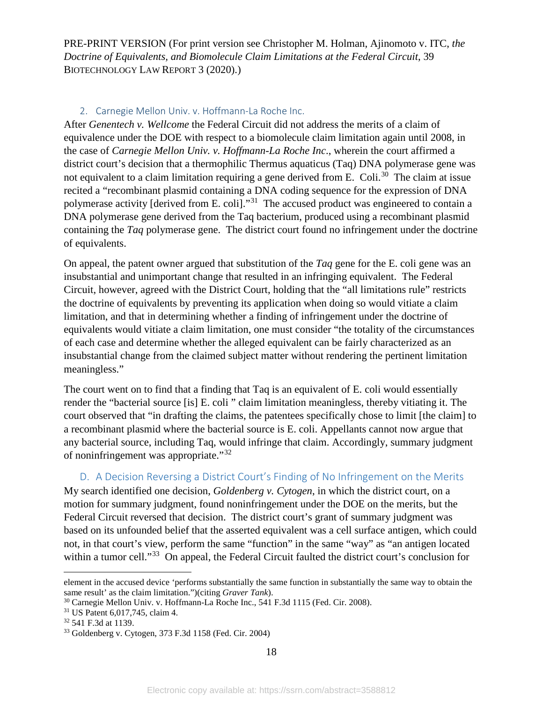#### 2. Carnegie Mellon Univ. v. Hoffmann-La Roche Inc.

After *Genentech v. Wellcome* the Federal Circuit did not address the merits of a claim of equivalence under the DOE with respect to a biomolecule claim limitation again until 2008, in the case of *Carnegie Mellon Univ. v. Hoffmann-La Roche Inc*., wherein the court affirmed a district court's decision that a thermophilic Thermus aquaticus (Taq) DNA polymerase gene was not equivalent to a claim limitation requiring a gene derived from E. Coli.<sup>[30](#page-18-0)</sup> The claim at issue recited a "recombinant plasmid containing a DNA coding sequence for the expression of DNA polymerase activity [derived from E. coli]."[31](#page-18-1) The accused product was engineered to contain a DNA polymerase gene derived from the Taq bacterium, produced using a recombinant plasmid containing the *Taq* polymerase gene. The district court found no infringement under the doctrine of equivalents.

On appeal, the patent owner argued that substitution of the *Taq* gene for the E. coli gene was an insubstantial and unimportant change that resulted in an infringing equivalent. The Federal Circuit, however, agreed with the District Court, holding that the "all limitations rule" restricts the doctrine of equivalents by preventing its application when doing so would vitiate a claim limitation, and that in determining whether a finding of infringement under the doctrine of equivalents would vitiate a claim limitation, one must consider "the totality of the circumstances of each case and determine whether the alleged equivalent can be fairly characterized as an insubstantial change from the claimed subject matter without rendering the pertinent limitation meaningless."

The court went on to find that a finding that Taq is an equivalent of E. coli would essentially render the "bacterial source [is] E. coli " claim limitation meaningless, thereby vitiating it. The court observed that "in drafting the claims, the patentees specifically chose to limit [the claim] to a recombinant plasmid where the bacterial source is E. coli. Appellants cannot now argue that any bacterial source, including Taq, would infringe that claim. Accordingly, summary judgment of noninfringement was appropriate."[32](#page-18-2)

#### D. A Decision Reversing a District Court's Finding of No Infringement on the Merits

My search identified one decision, *Goldenberg v. Cytogen*, in which the district court, on a motion for summary judgment, found noninfringement under the DOE on the merits, but the Federal Circuit reversed that decision. The district court's grant of summary judgment was based on its unfounded belief that the asserted equivalent was a cell surface antigen, which could not, in that court's view, perform the same "function" in the same "way" as "an antigen located within a tumor cell."<sup>[33](#page-18-3)</sup> On appeal, the Federal Circuit faulted the district court's conclusion for

 $\overline{a}$ 

element in the accused device 'performs substantially the same function in substantially the same way to obtain the same result' as the claim limitation.")(citing *Graver Tank*).

<span id="page-18-0"></span><sup>30</sup> Carnegie Mellon Univ. v. Hoffmann-La Roche Inc., 541 F.3d 1115 (Fed. Cir. 2008).

<span id="page-18-1"></span><sup>31</sup> US Patent 6,017,745, claim 4.

<span id="page-18-2"></span><sup>32</sup> 541 F.3d at 1139.

<span id="page-18-3"></span><sup>33</sup> Goldenberg v. Cytogen, 373 F.3d 1158 (Fed. Cir. 2004)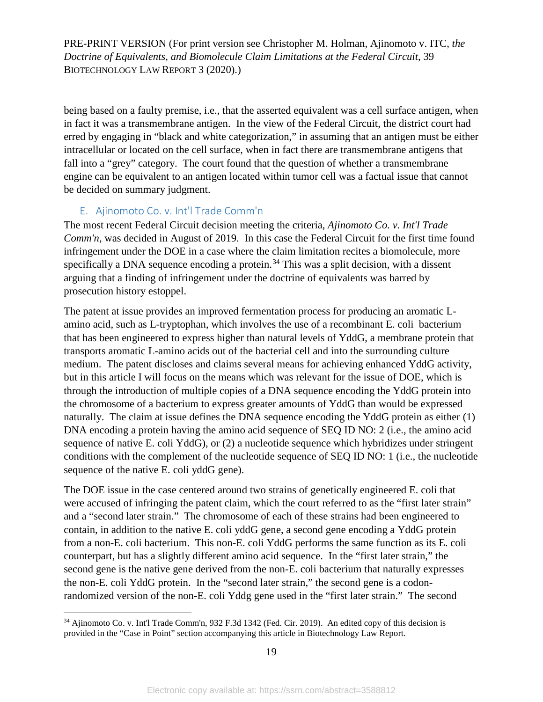being based on a faulty premise, i.e., that the asserted equivalent was a cell surface antigen, when in fact it was a transmembrane antigen. In the view of the Federal Circuit, the district court had erred by engaging in "black and white categorization," in assuming that an antigen must be either intracellular or located on the cell surface, when in fact there are transmembrane antigens that fall into a "grey" category. The court found that the question of whether a transmembrane engine can be equivalent to an antigen located within tumor cell was a factual issue that cannot be decided on summary judgment.

### E. Ajinomoto Co. v. Int'l Trade Comm'n

The most recent Federal Circuit decision meeting the criteria, *Ajinomoto Co. v. Int'l Trade Comm'n*, was decided in August of 2019. In this case the Federal Circuit for the first time found infringement under the DOE in a case where the claim limitation recites a biomolecule, more specifically a DNA sequence encoding a protein.<sup>[34](#page-19-0)</sup> This was a split decision, with a dissent arguing that a finding of infringement under the doctrine of equivalents was barred by prosecution history estoppel.

The patent at issue provides an improved fermentation process for producing an aromatic Lamino acid, such as L-tryptophan, which involves the use of a recombinant E. coli bacterium that has been engineered to express higher than natural levels of YddG, a membrane protein that transports aromatic L-amino acids out of the bacterial cell and into the surrounding culture medium. The patent discloses and claims several means for achieving enhanced YddG activity, but in this article I will focus on the means which was relevant for the issue of DOE, which is through the introduction of multiple copies of a DNA sequence encoding the YddG protein into the chromosome of a bacterium to express greater amounts of YddG than would be expressed naturally. The claim at issue defines the DNA sequence encoding the YddG protein as either (1) DNA encoding a protein having the amino acid sequence of SEO ID NO: 2 (i.e., the amino acid sequence of native E. coli YddG), or (2) a nucleotide sequence which hybridizes under stringent conditions with the complement of the nucleotide sequence of SEQ ID NO: 1 (i.e., the nucleotide sequence of the native E. coli yddG gene).

The DOE issue in the case centered around two strains of genetically engineered E. coli that were accused of infringing the patent claim, which the court referred to as the "first later strain" and a "second later strain." The chromosome of each of these strains had been engineered to contain, in addition to the native E. coli yddG gene, a second gene encoding a YddG protein from a non-E. coli bacterium. This non-E. coli YddG performs the same function as its E. coli counterpart, but has a slightly different amino acid sequence. In the "first later strain," the second gene is the native gene derived from the non-E. coli bacterium that naturally expresses the non-E. coli YddG protein. In the "second later strain," the second gene is a codonrandomized version of the non-E. coli Yddg gene used in the "first later strain." The second

<span id="page-19-0"></span> <sup>34</sup> Ajinomoto Co. v. Int'l Trade Comm'n, 932 F.3d 1342 (Fed. Cir. 2019). An edited copy of this decision is provided in the "Case in Point" section accompanying this article in Biotechnology Law Report.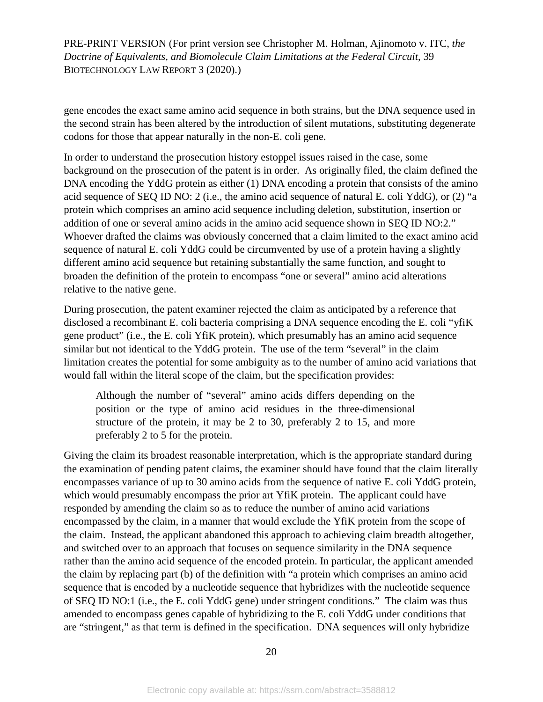gene encodes the exact same amino acid sequence in both strains, but the DNA sequence used in the second strain has been altered by the introduction of silent mutations, substituting degenerate codons for those that appear naturally in the non-E. coli gene.

In order to understand the prosecution history estoppel issues raised in the case, some background on the prosecution of the patent is in order. As originally filed, the claim defined the DNA encoding the YddG protein as either (1) DNA encoding a protein that consists of the amino acid sequence of SEQ ID NO: 2 (i.e., the amino acid sequence of natural E. coli YddG), or (2) "a protein which comprises an amino acid sequence including deletion, substitution, insertion or addition of one or several amino acids in the amino acid sequence shown in SEQ ID NO:2." Whoever drafted the claims was obviously concerned that a claim limited to the exact amino acid sequence of natural E. coli YddG could be circumvented by use of a protein having a slightly different amino acid sequence but retaining substantially the same function, and sought to broaden the definition of the protein to encompass "one or several" amino acid alterations relative to the native gene.

During prosecution, the patent examiner rejected the claim as anticipated by a reference that disclosed a recombinant E. coli bacteria comprising a DNA sequence encoding the E. coli "yfiK gene product" (i.e., the E. coli YfiK protein), which presumably has an amino acid sequence similar but not identical to the YddG protein. The use of the term "several" in the claim limitation creates the potential for some ambiguity as to the number of amino acid variations that would fall within the literal scope of the claim, but the specification provides:

Although the number of "several" amino acids differs depending on the position or the type of amino acid residues in the three-dimensional structure of the protein, it may be 2 to 30, preferably 2 to 15, and more preferably 2 to 5 for the protein.

Giving the claim its broadest reasonable interpretation, which is the appropriate standard during the examination of pending patent claims, the examiner should have found that the claim literally encompasses variance of up to 30 amino acids from the sequence of native E. coli YddG protein, which would presumably encompass the prior art YfiK protein. The applicant could have responded by amending the claim so as to reduce the number of amino acid variations encompassed by the claim, in a manner that would exclude the YfiK protein from the scope of the claim. Instead, the applicant abandoned this approach to achieving claim breadth altogether, and switched over to an approach that focuses on sequence similarity in the DNA sequence rather than the amino acid sequence of the encoded protein. In particular, the applicant amended the claim by replacing part (b) of the definition with "a protein which comprises an amino acid sequence that is encoded by a nucleotide sequence that hybridizes with the nucleotide sequence of SEQ ID NO:1 (i.e., the E. coli YddG gene) under stringent conditions." The claim was thus amended to encompass genes capable of hybridizing to the E. coli YddG under conditions that are "stringent," as that term is defined in the specification. DNA sequences will only hybridize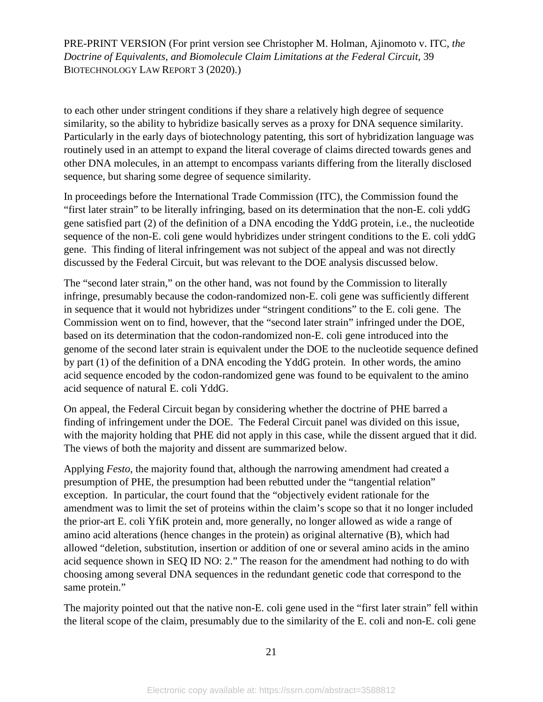to each other under stringent conditions if they share a relatively high degree of sequence similarity, so the ability to hybridize basically serves as a proxy for DNA sequence similarity. Particularly in the early days of biotechnology patenting, this sort of hybridization language was routinely used in an attempt to expand the literal coverage of claims directed towards genes and other DNA molecules, in an attempt to encompass variants differing from the literally disclosed sequence, but sharing some degree of sequence similarity.

In proceedings before the International Trade Commission (ITC), the Commission found the "first later strain" to be literally infringing, based on its determination that the non-E. coli yddG gene satisfied part (2) of the definition of a DNA encoding the YddG protein, i.e., the nucleotide sequence of the non-E. coli gene would hybridizes under stringent conditions to the E. coli yddG gene. This finding of literal infringement was not subject of the appeal and was not directly discussed by the Federal Circuit, but was relevant to the DOE analysis discussed below.

The "second later strain," on the other hand, was not found by the Commission to literally infringe, presumably because the codon-randomized non-E. coli gene was sufficiently different in sequence that it would not hybridizes under "stringent conditions" to the E. coli gene. The Commission went on to find, however, that the "second later strain" infringed under the DOE, based on its determination that the codon-randomized non-E. coli gene introduced into the genome of the second later strain is equivalent under the DOE to the nucleotide sequence defined by part (1) of the definition of a DNA encoding the YddG protein. In other words, the amino acid sequence encoded by the codon-randomized gene was found to be equivalent to the amino acid sequence of natural E. coli YddG.

On appeal, the Federal Circuit began by considering whether the doctrine of PHE barred a finding of infringement under the DOE. The Federal Circuit panel was divided on this issue, with the majority holding that PHE did not apply in this case, while the dissent argued that it did. The views of both the majority and dissent are summarized below.

Applying *Festo*, the majority found that, although the narrowing amendment had created a presumption of PHE, the presumption had been rebutted under the "tangential relation" exception. In particular, the court found that the "objectively evident rationale for the amendment was to limit the set of proteins within the claim's scope so that it no longer included the prior-art E. coli YfiK protein and, more generally, no longer allowed as wide a range of amino acid alterations (hence changes in the protein) as original alternative (B), which had allowed "deletion, substitution, insertion or addition of one or several amino acids in the amino acid sequence shown in SEQ ID NO: 2." The reason for the amendment had nothing to do with choosing among several DNA sequences in the redundant genetic code that correspond to the same protein."

The majority pointed out that the native non-E. coli gene used in the "first later strain" fell within the literal scope of the claim, presumably due to the similarity of the E. coli and non-E. coli gene

21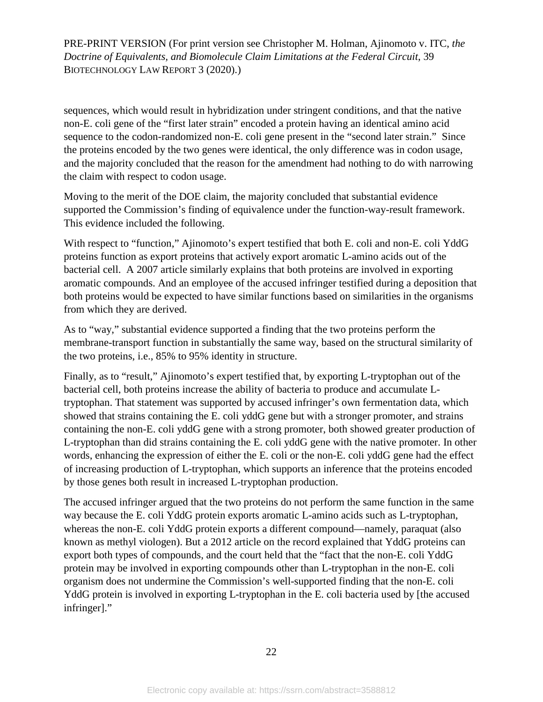sequences, which would result in hybridization under stringent conditions, and that the native non-E. coli gene of the "first later strain" encoded a protein having an identical amino acid sequence to the codon-randomized non-E. coli gene present in the "second later strain." Since the proteins encoded by the two genes were identical, the only difference was in codon usage, and the majority concluded that the reason for the amendment had nothing to do with narrowing the claim with respect to codon usage.

Moving to the merit of the DOE claim, the majority concluded that substantial evidence supported the Commission's finding of equivalence under the function-way-result framework. This evidence included the following.

With respect to "function," Ajinomoto's expert testified that both E. coli and non-E. coli YddG proteins function as export proteins that actively export aromatic L-amino acids out of the bacterial cell. A 2007 article similarly explains that both proteins are involved in exporting aromatic compounds. And an employee of the accused infringer testified during a deposition that both proteins would be expected to have similar functions based on similarities in the organisms from which they are derived.

As to "way," substantial evidence supported a finding that the two proteins perform the membrane-transport function in substantially the same way, based on the structural similarity of the two proteins, i.e., 85% to 95% identity in structure.

Finally, as to "result," Ajinomoto's expert testified that, by exporting L-tryptophan out of the bacterial cell, both proteins increase the ability of bacteria to produce and accumulate Ltryptophan. That statement was supported by accused infringer's own fermentation data, which showed that strains containing the E. coli yddG gene but with a stronger promoter, and strains containing the non-E. coli yddG gene with a strong promoter, both showed greater production of L-tryptophan than did strains containing the E. coli yddG gene with the native promoter. In other words, enhancing the expression of either the E. coli or the non-E. coli yddG gene had the effect of increasing production of L-tryptophan, which supports an inference that the proteins encoded by those genes both result in increased L-tryptophan production.

The accused infringer argued that the two proteins do not perform the same function in the same way because the E. coli YddG protein exports aromatic L-amino acids such as L-tryptophan, whereas the non-E. coli YddG protein exports a different compound—namely, paraquat (also known as methyl viologen). But a 2012 article on the record explained that YddG proteins can export both types of compounds, and the court held that the "fact that the non-E. coli YddG protein may be involved in exporting compounds other than L-tryptophan in the non-E. coli organism does not undermine the Commission's well-supported finding that the non-E. coli YddG protein is involved in exporting L-tryptophan in the E. coli bacteria used by [the accused infringer]."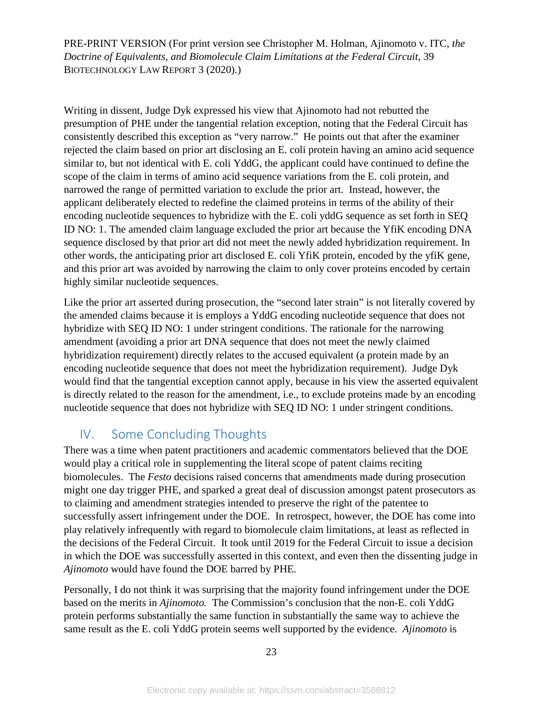Writing in dissent, Judge Dyk expressed his view that Ajinomoto had not rebutted the presumption of PHE under the tangential relation exception, noting that the Federal Circuit has consistently described this exception as "very narrow." He points out that after the examiner rejected the claim based on prior art disclosing an E. coli protein having an amino acid sequence similar to, but not identical with E. coli YddG, the applicant could have continued to define the scope of the claim in terms of amino acid sequence variations from the E. coli protein, and narrowed the range of permitted variation to exclude the prior art. Instead, however, the applicant deliberately elected to redefine the claimed proteins in terms of the ability of their encoding nucleotide sequences to hybridize with the E. coli yddG sequence as set forth in SEQ ID NO: 1. The amended claim language excluded the prior art because the YfiK encoding DNA sequence disclosed by that prior art did not meet the newly added hybridization requirement. In other words, the anticipating prior art disclosed E. coli YfiK protein, encoded by the yfiK gene, and this prior art was avoided by narrowing the claim to only cover proteins encoded by certain highly similar nucleotide sequences.

Like the prior art asserted during prosecution, the "second later strain" is not literally covered by the amended claims because it is employs a YddG encoding nucleotide sequence that does not hybridize with SEQ ID NO: 1 under stringent conditions. The rationale for the narrowing amendment (avoiding a prior art DNA sequence that does not meet the newly claimed hybridization requirement) directly relates to the accused equivalent (a protein made by an encoding nucleotide sequence that does not meet the hybridization requirement). Judge Dyk would find that the tangential exception cannot apply, because in his view the asserted equivalent is directly related to the reason for the amendment, i.e., to exclude proteins made by an encoding nucleotide sequence that does not hybridize with SEQ ID NO: 1 under stringent conditions.

### IV. Some Concluding Thoughts

There was a time when patent practitioners and academic commentators believed that the DOE would play a critical role in supplementing the literal scope of patent claims reciting biomolecules. The *Festo* decisions raised concerns that amendments made during prosecution might one day trigger PHE, and sparked a great deal of discussion amongst patent prosecutors as to claiming and amendment strategies intended to preserve the right of the patentee to successfully assert infringement under the DOE. In retrospect, however, the DOE has come into play relatively infrequently with regard to biomolecule claim limitations, at least as reflected in the decisions of the Federal Circuit. It took until 2019 for the Federal Circuit to issue a decision in which the DOE was successfully asserted in this context, and even then the dissenting judge in *Ajinomoto* would have found the DOE barred by PHE.

Personally, I do not think it was surprising that the majority found infringement under the DOE based on the merits in *Ajinomoto.* The Commission's conclusion that the non-E. coli YddG protein performs substantially the same function in substantially the same way to achieve the same result as the E. coli YddG protein seems well supported by the evidence. *Ajinomoto* is

23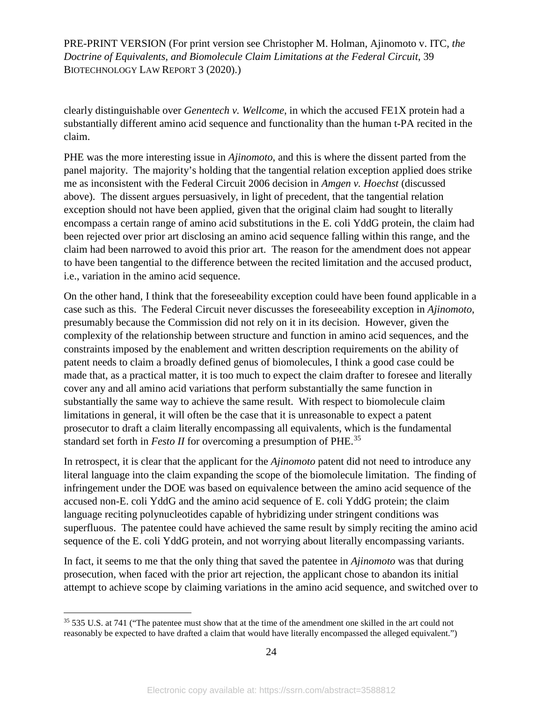clearly distinguishable over *Genentech v. Wellcome*, in which the accused FE1X protein had a substantially different amino acid sequence and functionality than the human t-PA recited in the claim.

PHE was the more interesting issue in *Ajinomoto*, and this is where the dissent parted from the panel majority. The majority's holding that the tangential relation exception applied does strike me as inconsistent with the Federal Circuit 2006 decision in *Amgen v. Hoechst* (discussed above). The dissent argues persuasively, in light of precedent, that the tangential relation exception should not have been applied, given that the original claim had sought to literally encompass a certain range of amino acid substitutions in the E. coli YddG protein, the claim had been rejected over prior art disclosing an amino acid sequence falling within this range, and the claim had been narrowed to avoid this prior art. The reason for the amendment does not appear to have been tangential to the difference between the recited limitation and the accused product, i.e., variation in the amino acid sequence.

On the other hand, I think that the foreseeability exception could have been found applicable in a case such as this. The Federal Circuit never discusses the foreseeability exception in *Ajinomoto*, presumably because the Commission did not rely on it in its decision. However, given the complexity of the relationship between structure and function in amino acid sequences, and the constraints imposed by the enablement and written description requirements on the ability of patent needs to claim a broadly defined genus of biomolecules, I think a good case could be made that, as a practical matter, it is too much to expect the claim drafter to foresee and literally cover any and all amino acid variations that perform substantially the same function in substantially the same way to achieve the same result. With respect to biomolecule claim limitations in general, it will often be the case that it is unreasonable to expect a patent prosecutor to draft a claim literally encompassing all equivalents, which is the fundamental standard set forth in *Festo II* for overcoming a presumption of PHE.[35](#page-24-0)

In retrospect, it is clear that the applicant for the *Ajinomoto* patent did not need to introduce any literal language into the claim expanding the scope of the biomolecule limitation. The finding of infringement under the DOE was based on equivalence between the amino acid sequence of the accused non-E. coli YddG and the amino acid sequence of E. coli YddG protein; the claim language reciting polynucleotides capable of hybridizing under stringent conditions was superfluous. The patentee could have achieved the same result by simply reciting the amino acid sequence of the E. coli YddG protein, and not worrying about literally encompassing variants.

In fact, it seems to me that the only thing that saved the patentee in *Ajinomoto* was that during prosecution, when faced with the prior art rejection, the applicant chose to abandon its initial attempt to achieve scope by claiming variations in the amino acid sequence, and switched over to

<span id="page-24-0"></span><sup>&</sup>lt;sup>35</sup> 535 U.S. at 741 ("The patentee must show that at the time of the amendment one skilled in the art could not reasonably be expected to have drafted a claim that would have literally encompassed the alleged equivalent.")